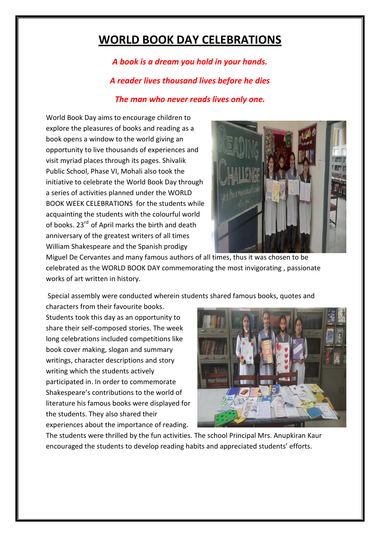## **WORLD BOOK DAY CELEBRATIONS**

*A book is a dream you hold in your hands. A reader lives thousand lives before he dies The man who never reads lives only one.*

World Book Day aims to encourage children to explore the pleasures of books and reading as a book opens a window to the world giving an opportunity to live thousands of experiences and visit myriad places through its pages. Shivalik Public School, Phase VI, Mohali also took the initiative to celebrate the World Book Day through a series of activities planned under the WORLD BOOK WEEK CELEBRATIONS for the students while acquainting the students with the colourful world of books. 23<sup>rd</sup> of April marks the birth and death anniversary of the greatest writers of all times William Shakespeare and the Spanish prodigy



Miguel De Cervantes and many famous authors of all times, thus it was chosen to be celebrated as the WORLD BOOK DAY commemorating the most invigorating , passionate works of art written in history.

Special assembly were conducted wherein students shared famous books, quotes and

characters from their favourite books. Students took this day as an opportunity to share their self-composed stories. The week long celebrations included competitions like book cover making, slogan and summary writings, character descriptions and story writing which the students actively participated in. In order to commemorate Shakespeare's contributions to the world of literature his famous books were displayed for the students. They also shared their experiences about the importance of reading.



The students were thrilled by the fun activities. The school Principal Mrs. Anupkiran Kaur encouraged the students to develop reading habits and appreciated students' efforts.